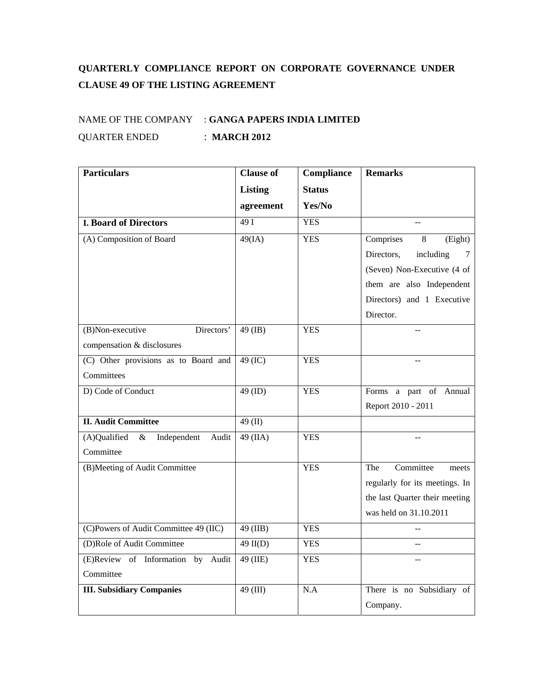## **QUARTERLY COMPLIANCE REPORT ON CORPORATE GOVERNANCE UNDER CLAUSE 49 OF THE LISTING AGREEMENT**

## NAME OF THE COMPANY : **GANGA PAPERS INDIA LIMITED** QUARTER ENDED : **MARCH 2012**

| <b>Particulars</b>                           | <b>Clause of</b> | Compliance    | <b>Remarks</b>                 |
|----------------------------------------------|------------------|---------------|--------------------------------|
|                                              | <b>Listing</b>   | <b>Status</b> |                                |
|                                              | agreement        | Yes/No        |                                |
| <b>I. Board of Directors</b>                 | 49I              | <b>YES</b>    |                                |
| (A) Composition of Board                     | 49(IA)           | <b>YES</b>    | Comprises<br>8<br>(Eight)      |
|                                              |                  |               | Directors,<br>including<br>7   |
|                                              |                  |               | (Seven) Non-Executive (4 of    |
|                                              |                  |               | them are also Independent      |
|                                              |                  |               | Directors) and 1 Executive     |
|                                              |                  |               | Director.                      |
| Directors'<br>(B)Non-executive               | 49 (IB)          | <b>YES</b>    |                                |
| compensation & disclosures                   |                  |               |                                |
| (C) Other provisions as to Board and         | 49 (IC)          | <b>YES</b>    |                                |
| Committees                                   |                  |               |                                |
| D) Code of Conduct                           | 49 (ID)          | <b>YES</b>    | Forms a part of Annual         |
|                                              |                  |               | Report 2010 - 2011             |
| <b>II. Audit Committee</b>                   | 49 $(II)$        |               |                                |
| (A)Qualified<br>$\&$<br>Independent<br>Audit | 49 (IIA)         | <b>YES</b>    |                                |
| Committee                                    |                  |               |                                |
| (B)Meeting of Audit Committee                |                  | <b>YES</b>    | Committee<br>The<br>meets      |
|                                              |                  |               | regularly for its meetings. In |
|                                              |                  |               | the last Quarter their meeting |
|                                              |                  |               | was held on 31.10.2011         |
| (C)Powers of Audit Committee 49 (IIC)        | 49 (IIB)         | <b>YES</b>    |                                |
| (D)Role of Audit Committee                   | $49$ II(D)       | <b>YES</b>    |                                |
| (E)Review of Information by<br>Audit         | 49 (IIE)         | <b>YES</b>    |                                |
| Committee                                    |                  |               |                                |
| <b>III. Subsidiary Companies</b>             | 49 (III)         | N.A           | There is no Subsidiary of      |
|                                              |                  |               | Company.                       |